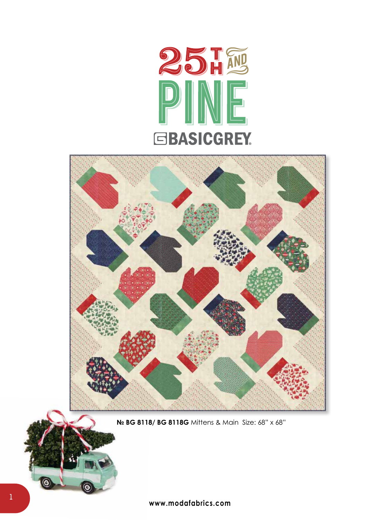



**№ BG 8118/ BG 8118G** Mittens & MainSize: 68" x 68"

٥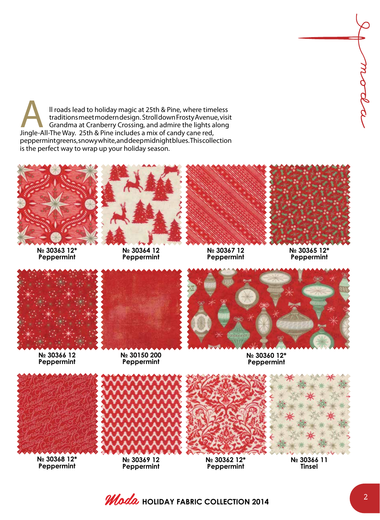Il roads lead to holiday magic at 25th & Pine, where timeless<br>traditions meet modern design. Stroll down Frosty Avenue, visi<br>Grandma at Cranberry Crossing, and admire the lights along<br>Jingle-All-The Way. 25th & Pine includ traditions meet modern design. Stroll down Frosty Avenue, visit Grandma at Cranberry Crossing, and admire the lights along Jingle-All-The Way. 25th & Pine includes a mix of candy cane red, peppermint greens, snowy white, and deep midnight blues. This collection is the perfect way to wrap up your holiday season.



**№ 30363 12\* Peppermint**



**№ 30364 12 Peppermint**



**№ 30367 12 Peppermint**



**№ 30365 12\* Peppermint**



**№ 30366 12 Peppermint**



**№ 30150 200 Peppermint**



**№ 30360 12\* Peppermint**



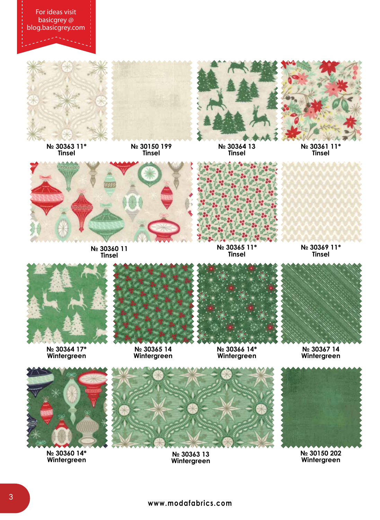For ideas visit basicgrey @ blog.basicgrey.com



**№ 30363 11\* Tinsel**





**№ 30364 13 Tinsel**



**№ 30361 11\* Tinsel**



**№ 30360 11 Tinsel**



**№ 30365 11\* Tinsel**





**№ 30364 17\* Wintergreen**



**№ 30365 14 Wintergreen**



**№ 30366 14\* Wintergreen**





**№ 30360 14\* Wintergreen**



**№ 30363 13 Wintergreen**

**№ 30150 202 Wintergreen**